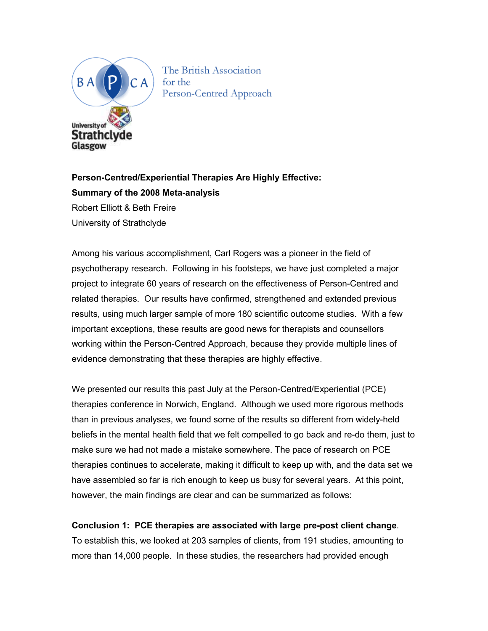

The British Association for the

**Person-Centred/Experiential Therapies Are Highly Effective: Summary of the 2008 Meta-analysis**  Robert Elliott & Beth Freire University of Strathclyde

Among his various accomplishment, Carl Rogers was a pioneer in the field of psychotherapy research. Following in his footsteps, we have just completed a major project to integrate 60 years of research on the effectiveness of Person-Centred and related therapies. Our results have confirmed, strengthened and extended previous results, using much larger sample of more 180 scientific outcome studies. With a few important exceptions, these results are good news for therapists and counsellors working within the Person-Centred Approach, because they provide multiple lines of evidence demonstrating that these therapies are highly effective.

We presented our results this past July at the Person-Centred/Experiential (PCE) therapies conference in Norwich, England. Although we used more rigorous methods than in previous analyses, we found some of the results so different from widely-held beliefs in the mental health field that we felt compelled to go back and re-do them, just to make sure we had not made a mistake somewhere. The pace of research on PCE therapies continues to accelerate, making it difficult to keep up with, and the data set we have assembled so far is rich enough to keep us busy for several years. At this point, however, the main findings are clear and can be summarized as follows:

**Conclusion 1: PCE therapies are associated with large pre-post client change**.

To establish this, we looked at 203 samples of clients, from 191 studies, amounting to more than 14,000 people. In these studies, the researchers had provided enough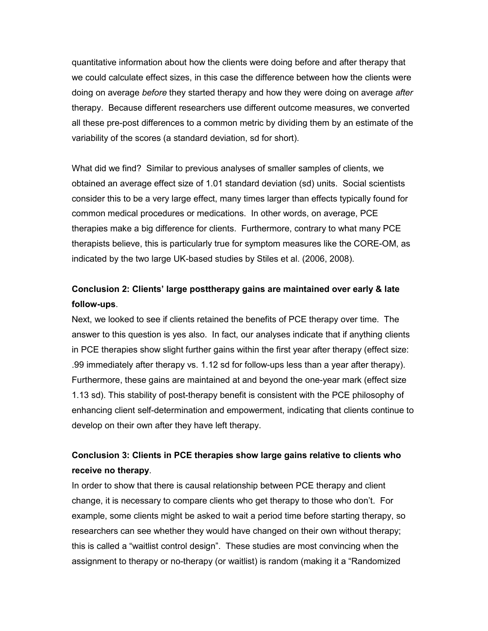quantitative information about how the clients were doing before and after therapy that we could calculate effect sizes, in this case the difference between how the clients were doing on average *before* they started therapy and how they were doing on average *after* therapy. Because different researchers use different outcome measures, we converted all these pre-post differences to a common metric by dividing them by an estimate of the variability of the scores (a standard deviation, sd for short).

What did we find? Similar to previous analyses of smaller samples of clients, we obtained an average effect size of 1.01 standard deviation (sd) units. Social scientists consider this to be a very large effect, many times larger than effects typically found for common medical procedures or medications. In other words, on average, PCE therapies make a big difference for clients. Furthermore, contrary to what many PCE therapists believe, this is particularly true for symptom measures like the CORE-OM, as indicated by the two large UK-based studies by Stiles et al. (2006, 2008).

## **Conclusion 2: Clients' large posttherapy gains are maintained over early & late follow-ups**.

Next, we looked to see if clients retained the benefits of PCE therapy over time. The answer to this question is yes also. In fact, our analyses indicate that if anything clients in PCE therapies show slight further gains within the first year after therapy (effect size: .99 immediately after therapy vs. 1.12 sd for follow-ups less than a year after therapy). Furthermore, these gains are maintained at and beyond the one-year mark (effect size 1.13 sd). This stability of post-therapy benefit is consistent with the PCE philosophy of enhancing client self-determination and empowerment, indicating that clients continue to develop on their own after they have left therapy.

## **Conclusion 3: Clients in PCE therapies show large gains relative to clients who receive no therapy**.

In order to show that there is causal relationship between PCE therapy and client change, it is necessary to compare clients who get therapy to those who don't. For example, some clients might be asked to wait a period time before starting therapy, so researchers can see whether they would have changed on their own without therapy; this is called a "waitlist control design". These studies are most convincing when the assignment to therapy or no-therapy (or waitlist) is random (making it a "Randomized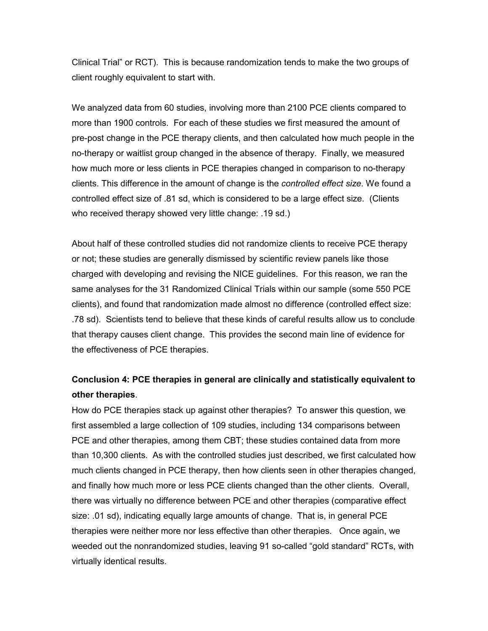Clinical Trial" or RCT). This is because randomization tends to make the two groups of client roughly equivalent to start with.

We analyzed data from 60 studies, involving more than 2100 PCE clients compared to more than 1900 controls. For each of these studies we first measured the amount of pre-post change in the PCE therapy clients, and then calculated how much people in the no-therapy or waitlist group changed in the absence of therapy. Finally, we measured how much more or less clients in PCE therapies changed in comparison to no-therapy clients. This difference in the amount of change is the *controlled effect size*. We found a controlled effect size of .81 sd, which is considered to be a large effect size. (Clients who received therapy showed very little change: .19 sd.)

About half of these controlled studies did not randomize clients to receive PCE therapy or not; these studies are generally dismissed by scientific review panels like those charged with developing and revising the NICE guidelines. For this reason, we ran the same analyses for the 31 Randomized Clinical Trials within our sample (some 550 PCE clients), and found that randomization made almost no difference (controlled effect size: .78 sd). Scientists tend to believe that these kinds of careful results allow us to conclude that therapy causes client change. This provides the second main line of evidence for the effectiveness of PCE therapies.

## **Conclusion 4: PCE therapies in general are clinically and statistically equivalent to other therapies**.

How do PCE therapies stack up against other therapies? To answer this question, we first assembled a large collection of 109 studies, including 134 comparisons between PCE and other therapies, among them CBT; these studies contained data from more than 10,300 clients. As with the controlled studies just described, we first calculated how much clients changed in PCE therapy, then how clients seen in other therapies changed, and finally how much more or less PCE clients changed than the other clients. Overall, there was virtually no difference between PCE and other therapies (comparative effect size: .01 sd), indicating equally large amounts of change. That is, in general PCE therapies were neither more nor less effective than other therapies. Once again, we weeded out the nonrandomized studies, leaving 91 so-called "gold standard" RCTs, with virtually identical results.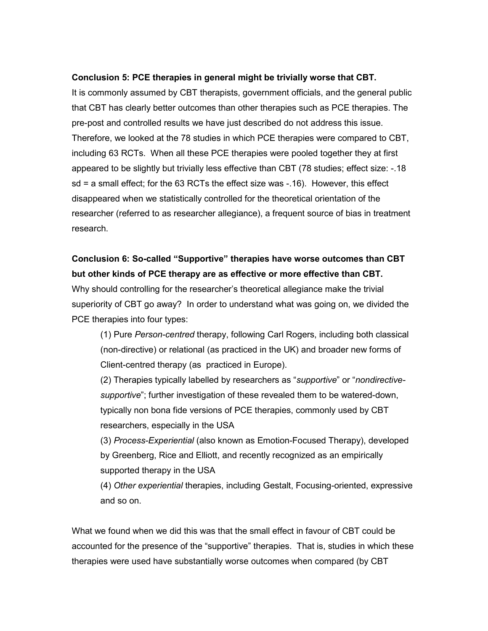#### **Conclusion 5: PCE therapies in general might be trivially worse that CBT.**

It is commonly assumed by CBT therapists, government officials, and the general public that CBT has clearly better outcomes than other therapies such as PCE therapies. The pre-post and controlled results we have just described do not address this issue. Therefore, we looked at the 78 studies in which PCE therapies were compared to CBT, including 63 RCTs. When all these PCE therapies were pooled together they at first appeared to be slightly but trivially less effective than CBT (78 studies; effect size: -.18 sd = a small effect; for the 63 RCTs the effect size was -.16). However, this effect disappeared when we statistically controlled for the theoretical orientation of the researcher (referred to as researcher allegiance), a frequent source of bias in treatment research.

# **Conclusion 6: So-called "Supportive" therapies have worse outcomes than CBT but other kinds of PCE therapy are as effective or more effective than CBT.**

Why should controlling for the researcher's theoretical allegiance make the trivial superiority of CBT go away? In order to understand what was going on, we divided the PCE therapies into four types:

(1) Pure *Person-centred* therapy, following Carl Rogers, including both classical (non-directive) or relational (as practiced in the UK) and broader new forms of Client-centred therapy (as practiced in Europe).

(2) Therapies typically labelled by researchers as "*supportive*" or "*nondirectivesupportive*"; further investigation of these revealed them to be watered-down, typically non bona fide versions of PCE therapies, commonly used by CBT researchers, especially in the USA

(3) *Process-Experiential* (also known as Emotion-Focused Therapy), developed by Greenberg, Rice and Elliott, and recently recognized as an empirically supported therapy in the USA

(4) *Other experiential* therapies, including Gestalt, Focusing-oriented, expressive and so on.

What we found when we did this was that the small effect in favour of CBT could be accounted for the presence of the "supportive" therapies. That is, studies in which these therapies were used have substantially worse outcomes when compared (by CBT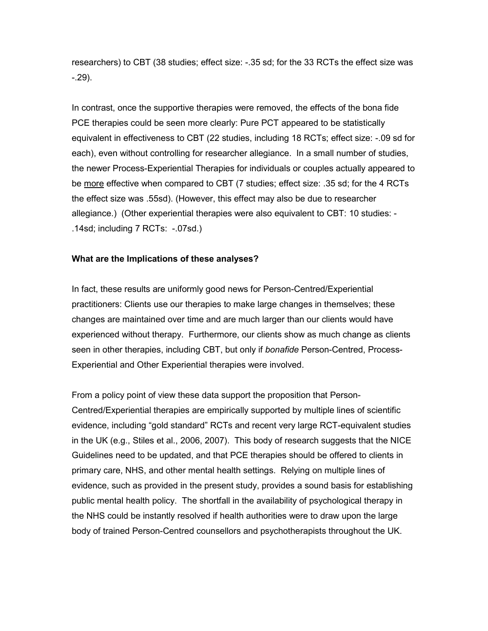researchers) to CBT (38 studies; effect size: -.35 sd; for the 33 RCTs the effect size was -.29).

In contrast, once the supportive therapies were removed, the effects of the bona fide PCE therapies could be seen more clearly: Pure PCT appeared to be statistically equivalent in effectiveness to CBT (22 studies, including 18 RCTs; effect size: -.09 sd for each), even without controlling for researcher allegiance. In a small number of studies, the newer Process-Experiential Therapies for individuals or couples actually appeared to be more effective when compared to CBT (7 studies; effect size: .35 sd; for the 4 RCTs the effect size was .55sd). (However, this effect may also be due to researcher allegiance.) (Other experiential therapies were also equivalent to CBT: 10 studies: - .14sd; including 7 RCTs: -.07sd.)

### **What are the Implications of these analyses?**

In fact, these results are uniformly good news for Person-Centred/Experiential practitioners: Clients use our therapies to make large changes in themselves; these changes are maintained over time and are much larger than our clients would have experienced without therapy. Furthermore, our clients show as much change as clients seen in other therapies, including CBT, but only if *bonafide* Person-Centred, Process-Experiential and Other Experiential therapies were involved.

From a policy point of view these data support the proposition that Person-Centred/Experiential therapies are empirically supported by multiple lines of scientific evidence, including "gold standard" RCTs and recent very large RCT-equivalent studies in the UK (e.g., Stiles et al., 2006, 2007). This body of research suggests that the NICE Guidelines need to be updated, and that PCE therapies should be offered to clients in primary care, NHS, and other mental health settings. Relying on multiple lines of evidence, such as provided in the present study, provides a sound basis for establishing public mental health policy. The shortfall in the availability of psychological therapy in the NHS could be instantly resolved if health authorities were to draw upon the large body of trained Person-Centred counsellors and psychotherapists throughout the UK.